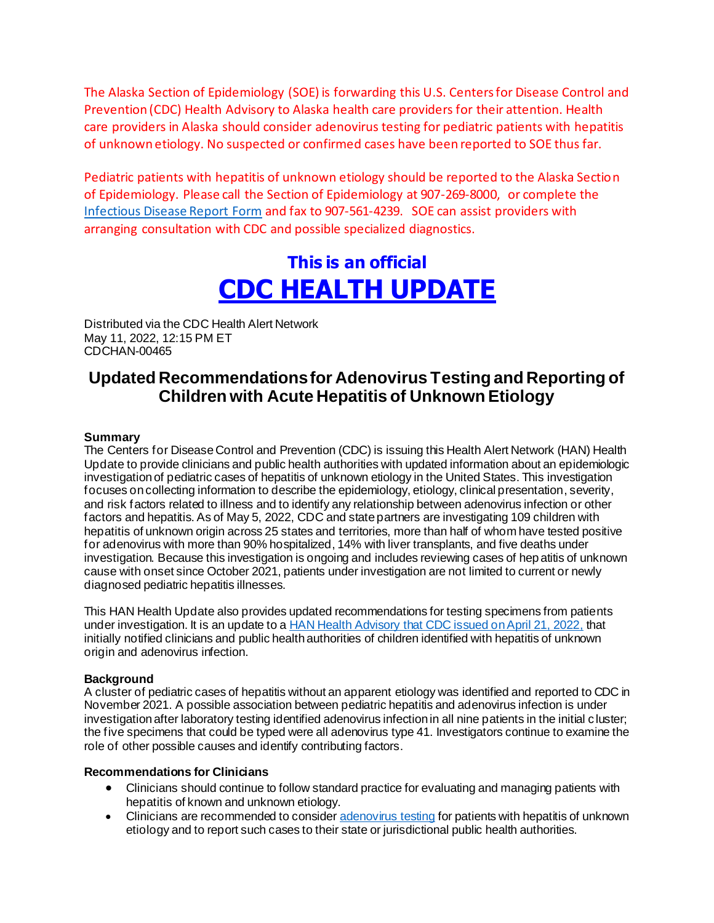The Alaska Section of Epidemiology (SOE) is forwarding this U.S. Centers for Disease Control and Prevention (CDC) Health Advisory to Alaska health care providers for their attention. Health care providers in Alaska should consider adenovirus testing for pediatric patients with hepatitis of unknown etiology. No suspected or confirmed cases have been reported to SOE thus far.

Pediatric patients with hepatitis of unknown etiology should be reported to the Alaska Section of Epidemiology. Please call the Section of Epidemiology at 907-269-8000, or complete the [Infectious Disease Report Form](http://dhss.alaska.gov/dph/Epi/Documents/pubs/conditions/frmInfect.pdf) and fax to 907-561-4239. SOE can assist providers with arranging consultation with CDC and possible specialized diagnostics.

# **This is an official CDC HEALTH UPDATE**

Distributed via the CDC Health Alert Network May 11, 2022, 12:15 PM ET CDCHAN-00465

### **Updated Recommendations for Adenovirus Testing and Reporting of Children with Acute Hepatitis of Unknown Etiology**

#### **Summary**

The Centers for Disease Control and Prevention (CDC) is issuing this Health Alert Network (HAN) Health Update to provide clinicians and public health authorities with updated information about an epidemiologic investigation of pediatric cases of hepatitis of unknown etiology in the United States. This investigation focuses on collecting information to describe the epidemiology, etiology, clinical presentation, severity, and risk factors related to illness and to identify any relationship between adenovirus infection or other factors and hepatitis. As of May 5, 2022, CDC and state partners are investigating 109 children with hepatitis of unknown origin across 25 states and territories, more than half of whom have tested positive for adenovirus with more than 90% hospitalized, 14% with liver transplants, and five deaths under investigation. Because this investigation is ongoing and includes reviewing cases of hep atitis of unknown cause with onset since October 2021, patients under investigation are not limited to current or newly diagnosed pediatric hepatitis illnesses.

This HAN Health Update also provides updated recommendations for testing specimens from patients under investigation. It is an update to a **HAN Health Advisory that CDC** issued on April 21, 2022, that initially notified clinicians and public health authorities of children identified with hepatitis of unknown origin and adenovirus infection.

#### **Background**

A cluster of pediatric cases of hepatitis without an apparent etiology was identified and reported to CDC in November 2021. A possible association between pediatric hepatitis and adenovirus infection is under investigation after laboratory testing identified adenovirus infection in all nine patients in the initial c luster; the five specimens that could be typed were all adenovirus type 41. Investigators continue to examine the role of other possible causes and identify contributing factors.

#### **Recommendations for Clinicians**

- Clinicians should continue to follow standard practice for evaluating and managing patients with hepatitis of known and unknown etiology.
- Clinicians are recommended to conside[r adenovirus testing](https://gcc02.safelinks.protection.outlook.com/?url=https%3A%2F%2Fwww.cdc.gov%2Fncird%2Finvestigation%2Fhepatitis-unknown-cause%2Fhcp.html&data=05%7C01%7Celizabeth.manning%40alaska.gov%7C36bccc65971f4ef811ce08da336a9465%7C20030bf67ad942f7927359ea83fcfa38%7C0%7C0%7C637878830092962962%7CUnknown%7CTWFpbGZsb3d8eyJWIjoiMC4wLjAwMDAiLCJQIjoiV2luMzIiLCJBTiI6Ik1haWwiLCJXVCI6Mn0%3D%7C3000%7C%7C%7C&sdata=iyhR1AFT01OeT15pmrNl8%2F4wKGou5L1kjz7E5yTG2Rs%3D&reserved=0) for patients with hepatitis of unknown etiology and to report such cases to their state or jurisdictional public health authorities.